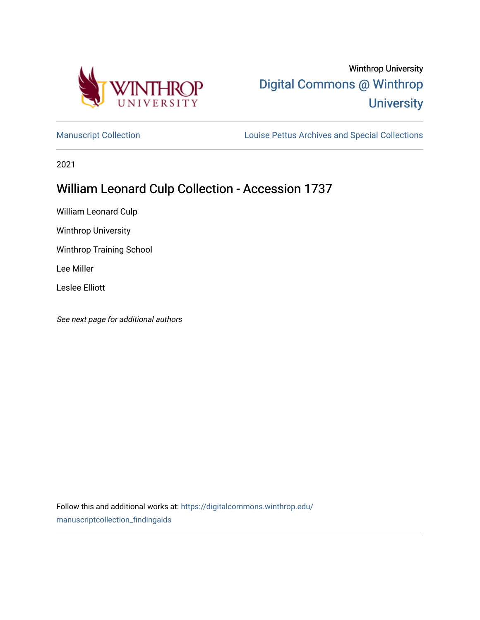

# Winthrop University [Digital Commons @ Winthrop](https://digitalcommons.winthrop.edu/)  **University**

[Manuscript Collection](https://digitalcommons.winthrop.edu/manuscriptcollection_findingaids) **Louise Pettus Archives and Special Collections** 

2021

# William Leonard Culp Collection - Accession 1737

William Leonard Culp

Winthrop University

Winthrop Training School

Lee Miller

Leslee Elliott

See next page for additional authors

Follow this and additional works at: [https://digitalcommons.winthrop.edu/](https://digitalcommons.winthrop.edu/manuscriptcollection_findingaids?utm_source=digitalcommons.winthrop.edu%2Fmanuscriptcollection_findingaids%2F1291&utm_medium=PDF&utm_campaign=PDFCoverPages) [manuscriptcollection\\_findingaids](https://digitalcommons.winthrop.edu/manuscriptcollection_findingaids?utm_source=digitalcommons.winthrop.edu%2Fmanuscriptcollection_findingaids%2F1291&utm_medium=PDF&utm_campaign=PDFCoverPages)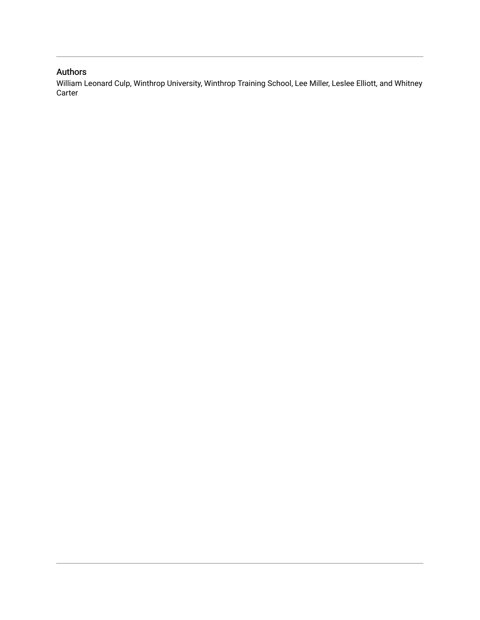## Authors

William Leonard Culp, Winthrop University, Winthrop Training School, Lee Miller, Leslee Elliott, and Whitney Carter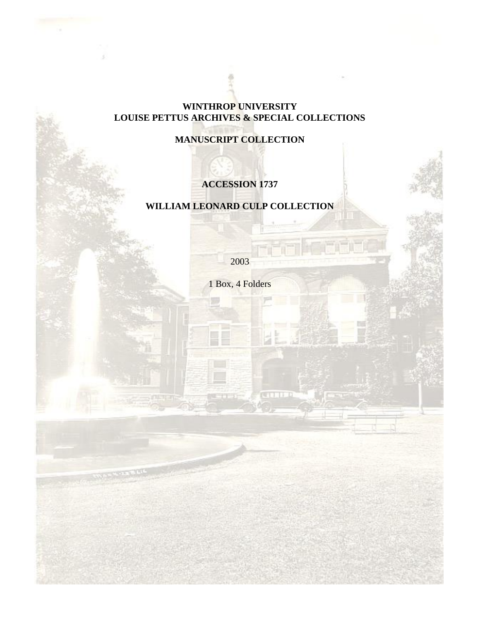# **WINTHROP UNIVERSITY LOUISE PETTUS ARCHIVES & SPECIAL COLLECTIONS**

**MANUSCRIPT COLLECTION**

# **ACCESSION 1737**

# **WILLIAM LEONARD CULP COLLECTION**

2003

1 Box, 4 Folders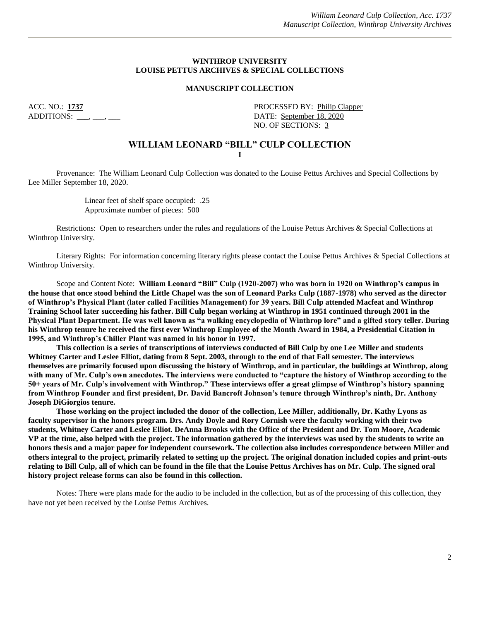#### **WINTHROP UNIVERSITY LOUISE PETTUS ARCHIVES & SPECIAL COLLECTIONS**

#### **MANUSCRIPT COLLECTION**

ACC. NO.: **1737** PROCESSED BY: Philip Clapper ADDITIONS: \_\_\_, \_\_\_, \_\_\_ NO. OF SECTIONS: 3

#### **WILLIAM LEONARD "BILL" CULP COLLECTION I**

Provenance: The William Leonard Culp Collection was donated to the Louise Pettus Archives and Special Collections by Lee Miller September 18, 2020.

> Linear feet of shelf space occupied: .25 Approximate number of pieces: 500

Restrictions: Open to researchers under the rules and regulations of the Louise Pettus Archives & Special Collections at Winthrop University.

Literary Rights: For information concerning literary rights please contact the Louise Pettus Archives & Special Collections at Winthrop University.

Scope and Content Note: **William Leonard "Bill" Culp (1920-2007) who was born in 1920 on Winthrop's campus in the house that once stood behind the Little Chapel was the son of Leonard Parks Culp (1887-1978) who served as the director of Winthrop's Physical Plant (later called Facilities Management) for 39 years. Bill Culp attended Macfeat and Winthrop Training School later succeeding his father. Bill Culp began working at Winthrop in 1951 continued through 2001 in the Physical Plant Department. He was well known as "a walking encyclopedia of Winthrop lore" and a gifted story teller. During his Winthrop tenure he received the first ever Winthrop Employee of the Month Award in 1984, a Presidential Citation in 1995, and Winthrop's Chiller Plant was named in his honor in 1997.** 

**This collection is a series of transcriptions of interviews conducted of Bill Culp by one Lee Miller and students Whitney Carter and Leslee Elliot, dating from 8 Sept. 2003, through to the end of that Fall semester. The interviews themselves are primarily focused upon discussing the history of Winthrop, and in particular, the buildings at Winthrop, along with many of Mr. Culp's own anecdotes. The interviews were conducted to "capture the history of Winthrop according to the 50+ years of Mr. Culp's involvement with Winthrop." These interviews offer a great glimpse of Winthrop's history spanning from Winthrop Founder and first president, Dr. David Bancroft Johnson's tenure through Winthrop's ninth, Dr. Anthony Joseph DiGiorgios tenure.**

**Those working on the project included the donor of the collection, Lee Miller, additionally, Dr. Kathy Lyons as faculty supervisor in the honors program. Drs. Andy Doyle and Rory Cornish were the faculty working with their two students, Whitney Carter and Leslee Elliot. DeAnna Brooks with the Office of the President and Dr. Tom Moore, Academic VP at the time, also helped with the project. The information gathered by the interviews was used by the students to write an honors thesis and a major paper for independent coursework. The collection also includes correspondence between Miller and others integral to the project, primarily related to setting up the project. The original donation included copies and print-outs relating to Bill Culp, all of which can be found in the file that the Louise Pettus Archives has on Mr. Culp. The signed oral history project release forms can also be found in this collection.** 

Notes: There were plans made for the audio to be included in the collection, but as of the processing of this collection, they have not yet been received by the Louise Pettus Archives.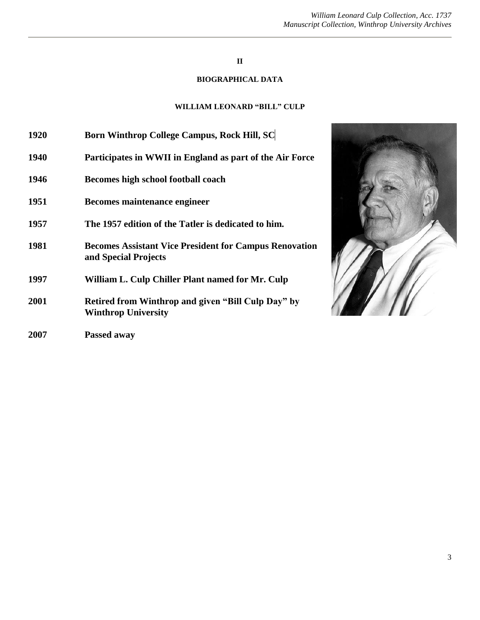#### *William Leonard Culp Collection, Acc. 1737 Manuscript Collection, Winthrop University Archives*

### **II**

## **BIOGRAPHICAL DATA**

## **WILLIAM LEONARD "BILL" CULP**

| 1920 | <b>Born Winthrop College Campus, Rock Hill, SC</b>                                    |
|------|---------------------------------------------------------------------------------------|
| 1940 | Participates in WWII in England as part of the Air Force                              |
| 1946 | Becomes high school football coach                                                    |
| 1951 | Becomes maintenance engineer                                                          |
| 1957 | The 1957 edition of the Tatler is dedicated to him.                                   |
| 1981 | <b>Becomes Assistant Vice President for Campus Renovation</b><br>and Special Projects |
| 1997 | William L. Culp Chiller Plant named for Mr. Culp                                      |
| 2001 | Retired from Winthrop and given "Bill Culp Day" by<br><b>Winthrop University</b>      |
| 2007 | Passed away                                                                           |